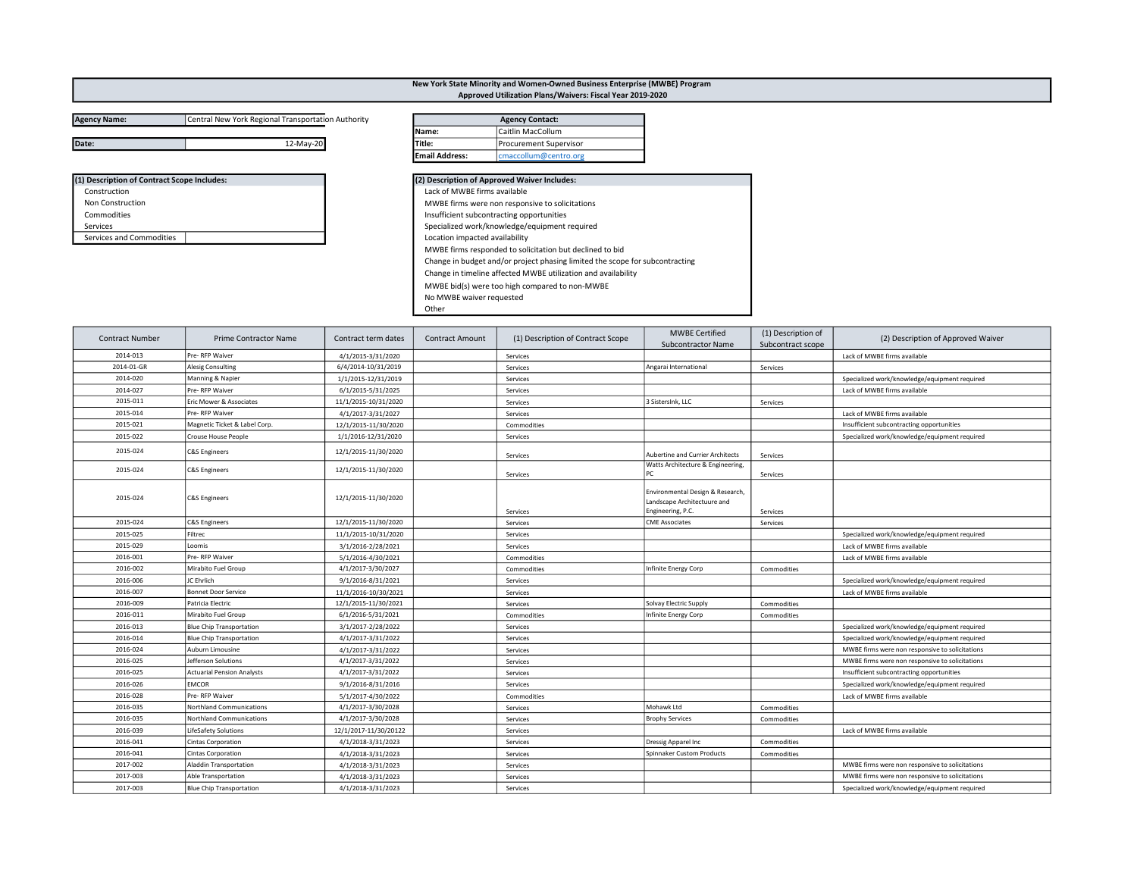## Agency Name: Central New York Regional Transportation Authority

| (1) Description of Contract Scope Includes: |
|---------------------------------------------|
| Construction                                |
| <b>Non Construction</b>                     |
| Commodities                                 |
| Services                                    |
| Services and Commodities                    |

| Date:                                       | 12-May-20 | Title: |                                                 | <b>Procurement Supervisor</b>                                                |  |  |  |
|---------------------------------------------|-----------|--------|-------------------------------------------------|------------------------------------------------------------------------------|--|--|--|
|                                             |           |        | <b>Email Address:</b>                           | cmaccollum@centro.org                                                        |  |  |  |
| (1) Description of Contract Scope Includes: |           |        |                                                 | (2) Description of Approved Waiver Includes:                                 |  |  |  |
| Construction                                |           |        | Lack of MWBE firms available                    |                                                                              |  |  |  |
| <b>Non Construction</b>                     |           |        | MWBE firms were non responsive to solicitations |                                                                              |  |  |  |
| Commodities                                 |           |        | Insufficient subcontracting opportunities       |                                                                              |  |  |  |
| Services                                    |           |        | Specialized work/knowledge/equipment required   |                                                                              |  |  |  |
| Services and Commodities                    |           |        | Location impacted availability                  |                                                                              |  |  |  |
|                                             |           |        |                                                 | MWBE firms responded to solicitation but declined to bid                     |  |  |  |
|                                             |           |        |                                                 | Change in budget and/or project phasing limited the scope for subcontracting |  |  |  |
|                                             |           |        |                                                 | Change in timeline affected MWBE utilization and availability                |  |  |  |
|                                             |           |        |                                                 | MWBE bid(s) were too high compared to non-MWBE                               |  |  |  |
|                                             |           |        | No MWBE waiver requested                        |                                                                              |  |  |  |
|                                             |           |        | $-1$                                            |                                                                              |  |  |  |

New York State Minority and Women-Owned Business Enterprise (MWBE) Program Approved Utilization Plans/Waivers: Fiscal Year 2019-2020

Agency Contact:

Other

Name: Caitlin MacCollum

| <b>Contract Number</b> | Prime Contractor Name             | Contract term dates   | <b>Contract Amount</b> | (1) Description of Contract Scope | <b>MWBE Certified</b><br><b>Subcontractor Name</b>                                   | (1) Description of<br>Subcontract scope | (2) Description of Approved Waiver              |
|------------------------|-----------------------------------|-----------------------|------------------------|-----------------------------------|--------------------------------------------------------------------------------------|-----------------------------------------|-------------------------------------------------|
| 2014-013               | Pre-RFP Waiver                    | 4/1/2015-3/31/2020    |                        | Services                          |                                                                                      |                                         | Lack of MWBE firms available                    |
| 2014-01-GR             | Alesig Consulting                 | 6/4/2014-10/31/2019   |                        | Services                          | Angarai International                                                                | Services                                |                                                 |
| 2014-020               | Manning & Napier                  | 1/1/2015-12/31/2019   |                        | Services                          |                                                                                      |                                         | Specialized work/knowledge/equipment required   |
| 2014-027               | Pre- RFP Waiver                   | 6/1/2015-5/31/2025    |                        | Services                          |                                                                                      |                                         | Lack of MWBE firms available                    |
| 2015-011               | Eric Mower & Associates           | 11/1/2015-10/31/2020  |                        | Services                          | 3 SistersInk, LLC                                                                    | Services                                |                                                 |
| 2015-014               | Pre-RFP Waiver                    | 4/1/2017-3/31/2027    |                        | Services                          |                                                                                      |                                         | Lack of MWBE firms available                    |
| 2015-021               | Magnetic Ticket & Label Corp.     | 12/1/2015-11/30/2020  |                        | Commodities                       |                                                                                      |                                         | Insufficient subcontracting opportunities       |
| 2015-022               | <b>Crouse House People</b>        | 1/1/2016-12/31/2020   |                        | Services                          |                                                                                      |                                         | Specialized work/knowledge/equipment required   |
| 2015-024               | <b>C&amp;S</b> Engineers          | 12/1/2015-11/30/2020  |                        | Services                          | Aubertine and Currier Architects                                                     | Services                                |                                                 |
| 2015-024               | <b>C&amp;S</b> Engineers          | 12/1/2015-11/30/2020  |                        | Services                          | Watts Architecture & Engineering,<br><b>PC</b>                                       | Services                                |                                                 |
| 2015-024               | <b>C&amp;S Engineers</b>          | 12/1/2015-11/30/2020  |                        | Services                          | Environmental Design & Research,<br>Landscape Architectuure and<br>Engineering, P.C. | Services                                |                                                 |
| 2015-024               | <b>C&amp;S Engineers</b>          | 12/1/2015-11/30/2020  |                        | Services                          | <b>CME Associates</b>                                                                | Services                                |                                                 |
| 2015-025               | Filtrec                           | 11/1/2015-10/31/2020  |                        | Services                          |                                                                                      |                                         | Specialized work/knowledge/equipment required   |
| 2015-029               | Loomis                            | 3/1/2016-2/28/2021    |                        | Services                          |                                                                                      |                                         | Lack of MWBE firms available                    |
| 2016-001               | Pre- RFP Waiver                   | 5/1/2016-4/30/2021    |                        | Commodities                       |                                                                                      |                                         | Lack of MWBE firms available                    |
| 2016-002               | Mirabito Fuel Group               | 4/1/2017-3/30/2027    |                        | Commodities                       | Infinite Energy Corp                                                                 | Commodities                             |                                                 |
| 2016-006               | JC Ehrlich                        | 9/1/2016-8/31/2021    |                        | Services                          |                                                                                      |                                         | Specialized work/knowledge/equipment required   |
| 2016-007               | <b>Bonnet Door Service</b>        | 11/1/2016-10/30/2021  |                        | Services                          |                                                                                      |                                         | Lack of MWBE firms available                    |
| 2016-009               | Patricia Electric                 | 12/1/2015-11/30/2021  |                        | Services                          | Solvay Electric Supply                                                               | Commodities                             |                                                 |
| 2016-011               | Mirabito Fuel Group               | 6/1/2016-5/31/2021    |                        | Commodities                       | Infinite Energy Corp                                                                 | Commodities                             |                                                 |
| 2016-013               | <b>Blue Chip Transportation</b>   | 3/1/2017-2/28/2022    |                        | Services                          |                                                                                      |                                         | Specialized work/knowledge/equipment required   |
| 2016-014               | <b>Blue Chip Transportation</b>   | 4/1/2017-3/31/2022    |                        | Services                          |                                                                                      |                                         | Specialized work/knowledge/equipment required   |
| 2016-024               | Auburn Limousine                  | 4/1/2017-3/31/2022    |                        | Services                          |                                                                                      |                                         | MWBE firms were non responsive to solicitations |
| 2016-025               | Jefferson Solutions               | 4/1/2017-3/31/2022    |                        | Services                          |                                                                                      |                                         | MWBE firms were non responsive to solicitations |
| 2016-025               | <b>Actuarial Pension Analysts</b> | 4/1/2017-3/31/2022    |                        | Services                          |                                                                                      |                                         | Insufficient subcontracting opportunities       |
| 2016-026               | <b>EMCOR</b>                      | 9/1/2016-8/31/2016    |                        | Services                          |                                                                                      |                                         | Specialized work/knowledge/equipment required   |
| 2016-028               | Pre-RFP Waiver                    | 5/1/2017-4/30/2022    |                        | Commodities                       |                                                                                      |                                         | Lack of MWBE firms available                    |
| 2016-035               | Northland Communications          | 4/1/2017-3/30/2028    |                        | Services                          | Mohawk Ltd                                                                           | Commodities                             |                                                 |
| 2016-035               | Northland Communications          | 4/1/2017-3/30/2028    |                        | Services                          | <b>Brophy Services</b>                                                               | Commodities                             |                                                 |
| 2016-039               | LifeSafety Solutions              | 12/1/2017-11/30/20122 |                        | Services                          |                                                                                      |                                         | Lack of MWBE firms available                    |
| 2016-041               | <b>Cintas Corporation</b>         | 4/1/2018-3/31/2023    |                        | Services                          | Dressig Apparel Inc                                                                  | Commodities                             |                                                 |
| 2016-041               | Cintas Corporation                | 4/1/2018-3/31/2023    |                        | Services                          | Spinnaker Custom Products                                                            | Commodities                             |                                                 |
| 2017-002               | <b>Aladdin Transportation</b>     | 4/1/2018-3/31/2023    |                        | Services                          |                                                                                      |                                         | MWBE firms were non responsive to solicitations |
| 2017-003               | Able Transportation               | 4/1/2018-3/31/2023    |                        | Services                          |                                                                                      |                                         | MWBE firms were non responsive to solicitations |
| 2017-003               | <b>Blue Chip Transportation</b>   | 4/1/2018-3/31/2023    |                        | Services                          |                                                                                      |                                         | Specialized work/knowledge/equipment required   |